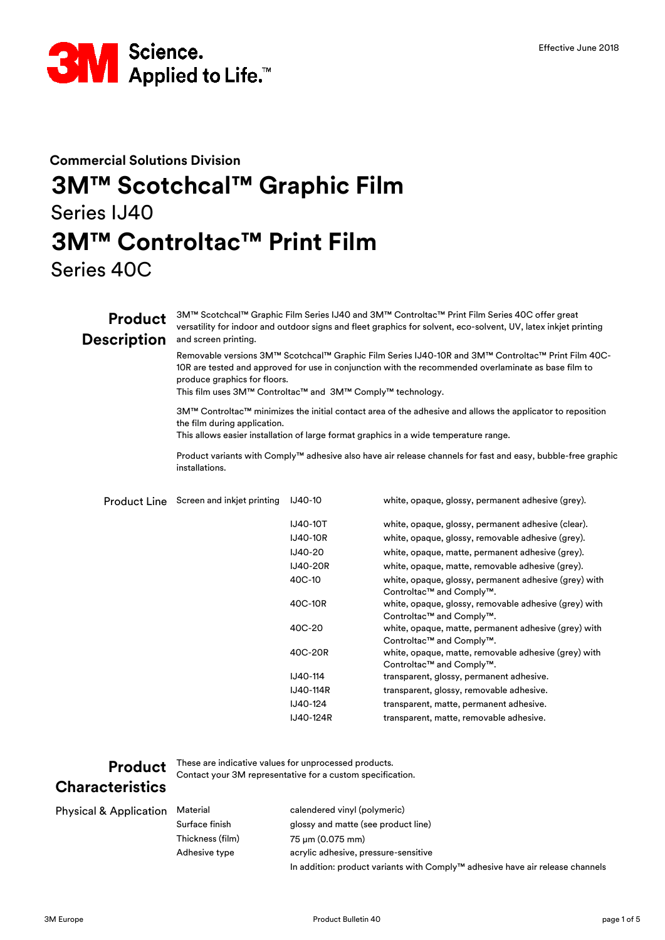

### **Commercial Solutions Division 3M™ Scotchcal™ Graphic Film** Series IJ40

### **3M™ Controltac™ Print Film**

Series 40C

#### **Product Description** Product Line Screen and inkjet printing IJ40-10 This film uses 3M™ Controltac™ and 3M™ Comply™ technology. 3M™ Controltac™ minimizes the initial contact area of the adhesive and allows the applicator to reposition the film during application. This allows easier installation of large format graphics in a wide temperature range. Product variants with Comply™ adhesive also have air release channels for fast and easy, bubble-free graphic installations. 3M™ Scotchcal™ Graphic Film Series IJ40 and 3M™ Controltac™ Print Film Series 40C offer great versatility for indoor and outdoor signs and fleet graphics for solvent, eco-solvent, UV, latex inkjet printing and screen printing. Removable versions 3M™ Scotchcal™ Graphic Film Series IJ40-10R and 3M™ Controltac™ Print Film 40C-10R are tested and approved for use in conjunction with the recommended overlaminate as base film to produce graphics for floors. white, opaque, glossy, permanent adhesive (grey).

| <b>IJ40-10T</b>  | white, opaque, glossy, permanent adhesive (clear).                                |
|------------------|-----------------------------------------------------------------------------------|
| <b>IJ40-10R</b>  | white, opaque, glossy, removable adhesive (grey).                                 |
| IJ40-20          | white, opaque, matte, permanent adhesive (grey).                                  |
| <b>IJ40-20R</b>  | white, opaque, matte, removable adhesive (grey).                                  |
| 40C-10           | white, opaque, glossy, permanent adhesive (grey) with<br>Controltac™ and Comply™. |
| 40C-10R          | white, opaque, glossy, removable adhesive (grey) with<br>Controltac™ and Comply™. |
| 40C-20           | white, opaque, matte, permanent adhesive (grey) with<br>Controltac™ and Comply™.  |
| 40C-20R          | white, opaque, matte, removable adhesive (grey) with<br>Controltac™ and Comply™.  |
| <b>IJ40-114</b>  | transparent, glossy, permanent adhesive.                                          |
| <b>IJ40-114R</b> | transparent, glossy, removable adhesive.                                          |
| IJ40-124         | transparent, matte, permanent adhesive.                                           |
| <b>IJ40-124R</b> | transparent, matte, removable adhesive.                                           |

# **Characteristics**

**Product** These are indicative values for unprocessed products. Contact your 3M representative for a custom specification.

| <b>Physical &amp; Application</b> | Material         | calendered vinyl (polymeric)                                                  |
|-----------------------------------|------------------|-------------------------------------------------------------------------------|
|                                   | Surface finish   | glossy and matte (see product line)                                           |
|                                   | Thickness (film) | 75 µm (0.075 mm)                                                              |
|                                   | Adhesive type    | acrylic adhesive, pressure-sensitive                                          |
|                                   |                  | In addition: product variants with Comply™ adhesive have air release channels |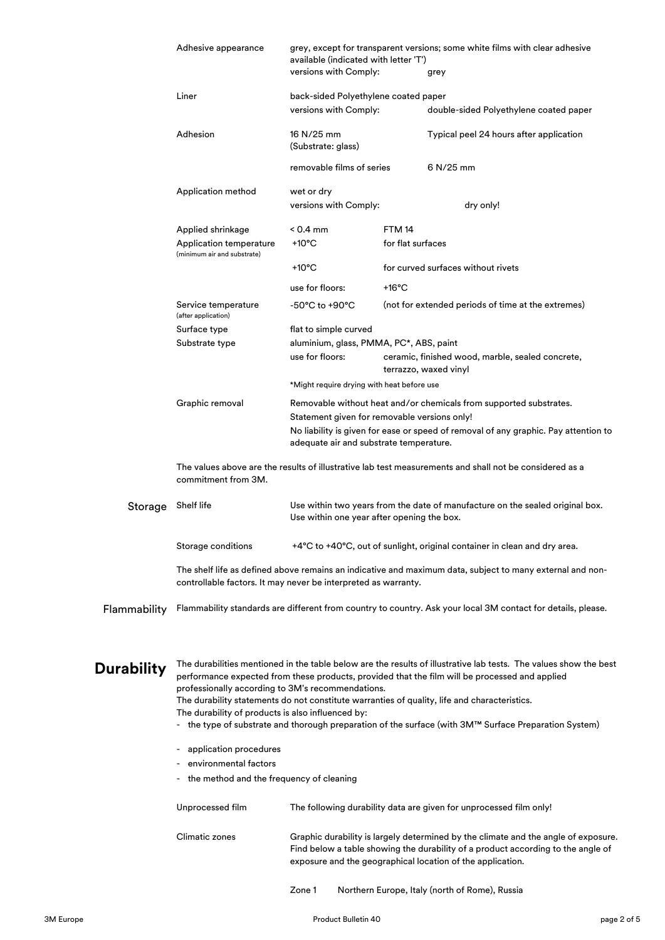|                   | Adhesive appearance                                                                                                                                                                                                                                                                                                                                                                                                                                                                                                                                                                                                                                                                                                                    | available (indicated with letter 'T')                      | grey, except for transparent versions; some white films with clear adhesive                                                                                                                                                          |
|-------------------|----------------------------------------------------------------------------------------------------------------------------------------------------------------------------------------------------------------------------------------------------------------------------------------------------------------------------------------------------------------------------------------------------------------------------------------------------------------------------------------------------------------------------------------------------------------------------------------------------------------------------------------------------------------------------------------------------------------------------------------|------------------------------------------------------------|--------------------------------------------------------------------------------------------------------------------------------------------------------------------------------------------------------------------------------------|
|                   |                                                                                                                                                                                                                                                                                                                                                                                                                                                                                                                                                                                                                                                                                                                                        | versions with Comply:                                      | grey                                                                                                                                                                                                                                 |
|                   | Liner                                                                                                                                                                                                                                                                                                                                                                                                                                                                                                                                                                                                                                                                                                                                  | back-sided Polyethylene coated paper                       |                                                                                                                                                                                                                                      |
|                   |                                                                                                                                                                                                                                                                                                                                                                                                                                                                                                                                                                                                                                                                                                                                        | versions with Comply:                                      | double-sided Polyethylene coated paper                                                                                                                                                                                               |
|                   | Adhesion                                                                                                                                                                                                                                                                                                                                                                                                                                                                                                                                                                                                                                                                                                                               | 16 N/25 mm<br>(Substrate: glass)                           | Typical peel 24 hours after application                                                                                                                                                                                              |
|                   |                                                                                                                                                                                                                                                                                                                                                                                                                                                                                                                                                                                                                                                                                                                                        | removable films of series                                  | 6 N/25 mm                                                                                                                                                                                                                            |
|                   | Application method                                                                                                                                                                                                                                                                                                                                                                                                                                                                                                                                                                                                                                                                                                                     | wet or dry<br>versions with Comply:                        | dry only!                                                                                                                                                                                                                            |
|                   | Applied shrinkage<br>Application temperature<br>(minimum air and substrate)                                                                                                                                                                                                                                                                                                                                                                                                                                                                                                                                                                                                                                                            | < 0.4 mm<br>+10 $^{\circ}$ C                               | FTM 14<br>for flat surfaces                                                                                                                                                                                                          |
|                   |                                                                                                                                                                                                                                                                                                                                                                                                                                                                                                                                                                                                                                                                                                                                        | +10 $^{\circ}$ C                                           | for curved surfaces without rivets                                                                                                                                                                                                   |
|                   |                                                                                                                                                                                                                                                                                                                                                                                                                                                                                                                                                                                                                                                                                                                                        | use for floors:                                            | $+16^{\circ}$ C                                                                                                                                                                                                                      |
|                   | Service temperature<br>(after application)                                                                                                                                                                                                                                                                                                                                                                                                                                                                                                                                                                                                                                                                                             | -50°C to +90°C                                             | (not for extended periods of time at the extremes)                                                                                                                                                                                   |
|                   | Surface type                                                                                                                                                                                                                                                                                                                                                                                                                                                                                                                                                                                                                                                                                                                           | flat to simple curved                                      |                                                                                                                                                                                                                                      |
|                   | Substrate type                                                                                                                                                                                                                                                                                                                                                                                                                                                                                                                                                                                                                                                                                                                         | aluminium, glass, PMMA, PC*, ABS, paint<br>use for floors: | ceramic, finished wood, marble, sealed concrete,<br>terrazzo, waxed vinyl                                                                                                                                                            |
|                   |                                                                                                                                                                                                                                                                                                                                                                                                                                                                                                                                                                                                                                                                                                                                        | *Might require drying with heat before use                 |                                                                                                                                                                                                                                      |
|                   | Graphic removal                                                                                                                                                                                                                                                                                                                                                                                                                                                                                                                                                                                                                                                                                                                        | adequate air and substrate temperature.                    | Removable without heat and/or chemicals from supported substrates.<br>Statement given for removable versions only!<br>No liability is given for ease or speed of removal of any graphic. Pay attention to                            |
|                   | commitment from 3M.                                                                                                                                                                                                                                                                                                                                                                                                                                                                                                                                                                                                                                                                                                                    |                                                            | The values above are the results of illustrative lab test measurements and shall not be considered as a                                                                                                                              |
| Storage           | Shelf life                                                                                                                                                                                                                                                                                                                                                                                                                                                                                                                                                                                                                                                                                                                             | Use within one year after opening the box.                 | Use within two years from the date of manufacture on the sealed original box.                                                                                                                                                        |
|                   | Storage conditions                                                                                                                                                                                                                                                                                                                                                                                                                                                                                                                                                                                                                                                                                                                     |                                                            | +4°C to +40°C, out of sunlight, original container in clean and dry area.                                                                                                                                                            |
|                   | controllable factors. It may never be interpreted as warranty.                                                                                                                                                                                                                                                                                                                                                                                                                                                                                                                                                                                                                                                                         |                                                            | The shelf life as defined above remains an indicative and maximum data, subject to many external and non-                                                                                                                            |
| Flammability      |                                                                                                                                                                                                                                                                                                                                                                                                                                                                                                                                                                                                                                                                                                                                        |                                                            | Flammability standards are different from country to country. Ask your local 3M contact for details, please.                                                                                                                         |
| <b>Durability</b> | The durabilities mentioned in the table below are the results of illustrative lab tests. The values show the best<br>performance expected from these products, provided that the film will be processed and applied<br>professionally according to 3M's recommendations.<br>The durability statements do not constitute warranties of quality, life and characteristics.<br>The durability of products is also influenced by:<br>- the type of substrate and thorough preparation of the surface (with 3M™ Surface Preparation System)<br>application procedures<br>۰<br>environmental factors<br>- the method and the frequency of cleaning<br>Unprocessed film<br>The following durability data are given for unprocessed film only! |                                                            |                                                                                                                                                                                                                                      |
|                   | Climatic zones                                                                                                                                                                                                                                                                                                                                                                                                                                                                                                                                                                                                                                                                                                                         |                                                            | Graphic durability is largely determined by the climate and the angle of exposure.<br>Find below a table showing the durability of a product according to the angle of<br>exposure and the geographical location of the application. |

Zone 1 Northern Europe, Italy (north of Rome), Russia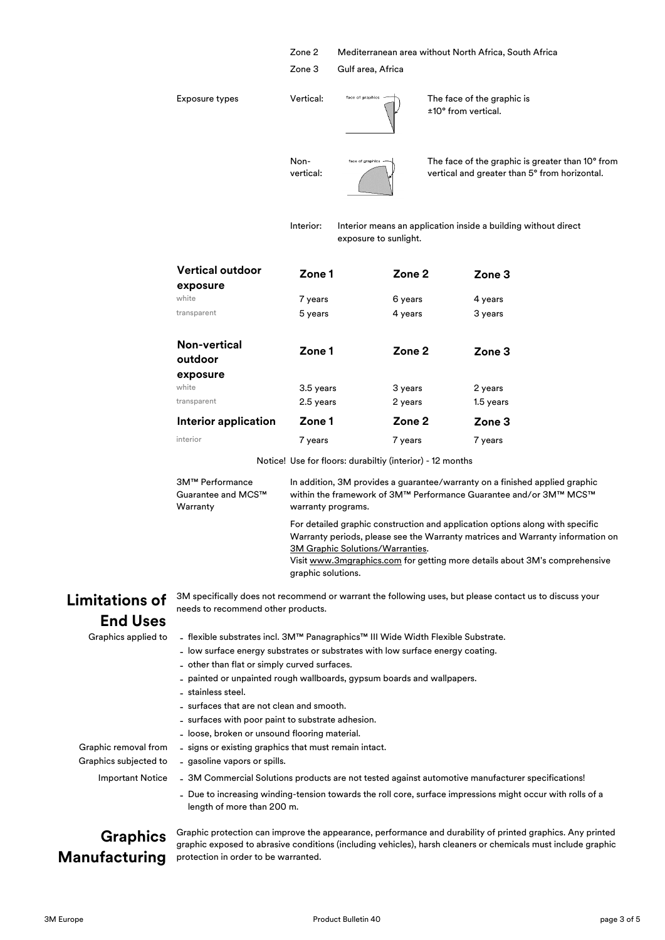|                                     | Zone 2<br>Zone 3  | Gulf area, Africa     |                     | Mediterranean area without North Africa, South Africa                                             |
|-------------------------------------|-------------------|-----------------------|---------------------|---------------------------------------------------------------------------------------------------|
| <b>Exposure types</b>               | Vertical:         | face of graphics      | ±10° from vertical. | The face of the graphic is                                                                        |
|                                     | Non-<br>vertical: | face of graphics      |                     | The face of the graphic is greater than 10° from<br>vertical and greater than 5° from horizontal. |
|                                     | Interior:         | exposure to sunlight. |                     | Interior means an application inside a building without direct                                    |
| <b>Vertical outdoor</b><br>exposure | Zone 1            |                       | Zone 2              | Zone <sub>3</sub>                                                                                 |
| white                               | 7 years           |                       | 6 years             | 4 years                                                                                           |
| transparent                         | 5 years           |                       | 4 years             | 3 years                                                                                           |
| <b>Non-vertical</b><br>outdoor      | Zone 1            |                       | Zone 2              | Zone 3                                                                                            |
| exposure                            |                   |                       |                     |                                                                                                   |
| white                               | 3.5 years         |                       | 3 years             | 2 years                                                                                           |
| transparent                         | 2.5 years         |                       | 2 years             | 1.5 years                                                                                         |
| <b>Interior application</b>         | Zone 1            |                       | Zone <sub>2</sub>   | Zone <sub>3</sub>                                                                                 |
| interior                            | 7 years           |                       | 7 years             | 7 years                                                                                           |

Notice! Use for floors: durabiltiy (interior) - 12 months

| 3M™ Performance    | In addition, 3M provides a guarantee/warranty on a finished applied graphic                                                                                     |  |  |
|--------------------|-----------------------------------------------------------------------------------------------------------------------------------------------------------------|--|--|
| Guarantee and MCS™ | within the framework of 3M™ Performance Guarantee and/or 3M™ MCS™                                                                                               |  |  |
| Warranty           | warranty programs.                                                                                                                                              |  |  |
|                    | For detailed graphic construction and application options along with specific<br>Warranty periods, please see the Warranty matrices and Warranty information of |  |  |

[Warranty p](http://solutions.3m.com/wps/portal/3M/en_EU/3MGraphics/GraphicSolutions/Support/Warranties/)eriods, please see the Warranty matrices and Warranty information on [3M Graphic Solutions/Warranties.](http://solutions.3m.com/wps/portal/3M/en_EU/3MGraphics/GraphicSolutions/Support/Warranties/)

[Visit www.3mgraphics.com](http://solutions.3m.com/wps/portal/3M/en_EU/3MGraphics/?WT.mc_id=www.3m.eu/graphicsolutions) for getting more details about 3M's comprehensive [graphic solu](http://solutions.3m.com/wps/portal/3M/en_EU/3MGraphics/?WT.mc_id=www.3m.eu/graphicsolutions)tions.

### **Limitations of End Uses**

3M specifically does not recommend or warrant the following uses, but please contact us to discuss your needs to recommend other products.

## Graphics applied to

flexible substrates incl. 3M™ Panagraphics™ III Wide Width Flexible Substrate.

- low surface energy substrates or substrates with low surface energy coating.
- other than flat or simply curved surfaces.
- painted or unpainted rough wallboards, gypsum boards and wallpapers.
- stainless steel.

- gasoline vapors or spills.

- surfaces that are not clean and smooth.
- surfaces with poor paint to substrate adhesion.
- loose, broken or unsound flooring material.
- signs or existing graphics that must remain intact.

Graphic removal from - Graphics subjected to **Important Notice** 

- 3M Commercial Solutions products are not tested against automotive manufacturer specifications!
- Due to increasing winding-tension towards the roll core, surface impressions might occur with rolls of a length of more than 200 m.

#### **Graphics Manufacturing**

Graphic protection can improve the appearance, performance and durability of printed graphics. Any printed graphic exposed to abrasive conditions (including vehicles), harsh cleaners or chemicals must include graphic protection in order to be warranted.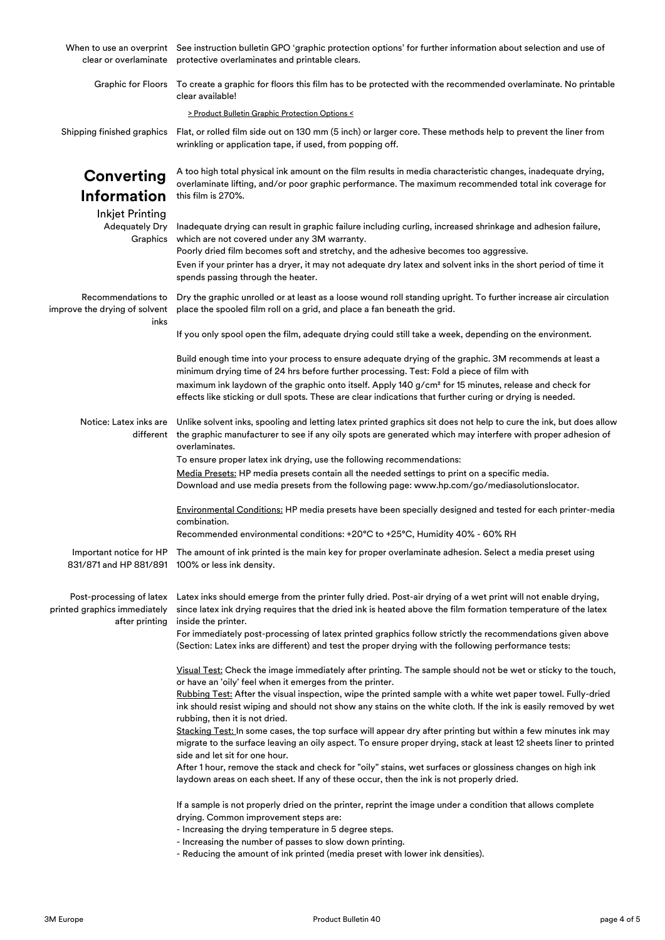| clear or overlaminate                                                      | When to use an overprint See instruction bulletin GPO 'graphic protection options' for further information about selection and use of<br>protective overlaminates and printable clears.                                                                                |  |  |
|----------------------------------------------------------------------------|------------------------------------------------------------------------------------------------------------------------------------------------------------------------------------------------------------------------------------------------------------------------|--|--|
|                                                                            | Graphic for Floors To create a graphic for floors this film has to be protected with the recommended overlaminate. No printable<br>clear available!                                                                                                                    |  |  |
|                                                                            | > Product Bulletin Graphic Protection Options <                                                                                                                                                                                                                        |  |  |
| Shipping finished graphics                                                 | Flat, or rolled film side out on 130 mm (5 inch) or larger core. These methods help to prevent the liner from<br>wrinkling or application tape, if used, from popping off.                                                                                             |  |  |
| <b>Converting</b>                                                          | A too high total physical ink amount on the film results in media characteristic changes, inadequate drying,<br>overlaminate lifting, and/or poor graphic performance. The maximum recommended total ink coverage for                                                  |  |  |
| <b>Information</b>                                                         | this film is 270%.                                                                                                                                                                                                                                                     |  |  |
| <b>Inkjet Printing</b><br><b>Adequately Dry</b><br>Graphics                | Inadequate drying can result in graphic failure including curling, increased shrinkage and adhesion failure,<br>which are not covered under any 3M warranty.<br>Poorly dried film becomes soft and stretchy, and the adhesive becomes too aggressive.                  |  |  |
|                                                                            | Even if your printer has a dryer, it may not adequate dry latex and solvent inks in the short period of time it<br>spends passing through the heater.                                                                                                                  |  |  |
| Recommendations to<br>improve the drying of solvent<br>inks                | Dry the graphic unrolled or at least as a loose wound roll standing upright. To further increase air circulation<br>place the spooled film roll on a grid, and place a fan beneath the grid.                                                                           |  |  |
|                                                                            | If you only spool open the film, adequate drying could still take a week, depending on the environment.                                                                                                                                                                |  |  |
|                                                                            | Build enough time into your process to ensure adequate drying of the graphic. 3M recommends at least a<br>minimum drying time of 24 hrs before further processing. Test: Fold a piece of film with                                                                     |  |  |
|                                                                            | maximum ink laydown of the graphic onto itself. Apply 140 g/cm <sup>2</sup> for 15 minutes, release and check for<br>effects like sticking or dull spots. These are clear indications that further curing or drying is needed.                                         |  |  |
| Notice: Latex inks are<br>different                                        | Unlike solvent inks, spooling and letting latex printed graphics sit does not help to cure the ink, but does allow<br>the graphic manufacturer to see if any oily spots are generated which may interfere with proper adhesion of<br>overlaminates.                    |  |  |
|                                                                            | To ensure proper latex ink drying, use the following recommendations:<br>Media Presets: HP media presets contain all the needed settings to print on a specific media.<br>Download and use media presets from the following page: www.hp.com/go/mediasolutionslocator. |  |  |
|                                                                            | Environmental Conditions: HP media presets have been specially designed and tested for each printer-media<br>combination.                                                                                                                                              |  |  |
|                                                                            | Recommended environmental conditions: +20°C to +25°C, Humidity 40% - 60% RH                                                                                                                                                                                            |  |  |
|                                                                            | Important notice for HP The amount of ink printed is the main key for proper overlaminate adhesion. Select a media preset using<br>831/871 and HP 881/891 100% or less ink density.                                                                                    |  |  |
| Post-processing of latex<br>printed graphics immediately<br>after printing | Latex inks should emerge from the printer fully dried. Post-air drying of a wet print will not enable drying,<br>since latex ink drying requires that the dried ink is heated above the film formation temperature of the latex<br>inside the printer.                 |  |  |
|                                                                            | For immediately post-processing of latex printed graphics follow strictly the recommendations given above<br>(Section: Latex inks are different) and test the proper drying with the following performance tests:                                                      |  |  |
|                                                                            | Visual Test: Check the image immediately after printing. The sample should not be wet or sticky to the touch,<br>or have an 'oily' feel when it emerges from the printer.                                                                                              |  |  |
|                                                                            | Rubbing Test: After the visual inspection, wipe the printed sample with a white wet paper towel. Fully-dried<br>ink should resist wiping and should not show any stains on the white cloth. If the ink is easily removed by wet<br>rubbing, then it is not dried.      |  |  |
|                                                                            | Stacking Test: In some cases, the top surface will appear dry after printing but within a few minutes ink may<br>migrate to the surface leaving an oily aspect. To ensure proper drying, stack at least 12 sheets liner to printed<br>side and let sit for one hour.   |  |  |
|                                                                            | After 1 hour, remove the stack and check for "oily" stains, wet surfaces or glossiness changes on high ink<br>laydown areas on each sheet. If any of these occur, then the ink is not properly dried.                                                                  |  |  |
|                                                                            | If a sample is not properly dried on the printer, reprint the image under a condition that allows complete<br>drying. Common improvement steps are:                                                                                                                    |  |  |
|                                                                            | - Increasing the drying temperature in 5 degree steps.                                                                                                                                                                                                                 |  |  |
|                                                                            | - Increasing the number of passes to slow down printing.<br>- Reducing the amount of ink printed (media preset with lower ink densities).                                                                                                                              |  |  |